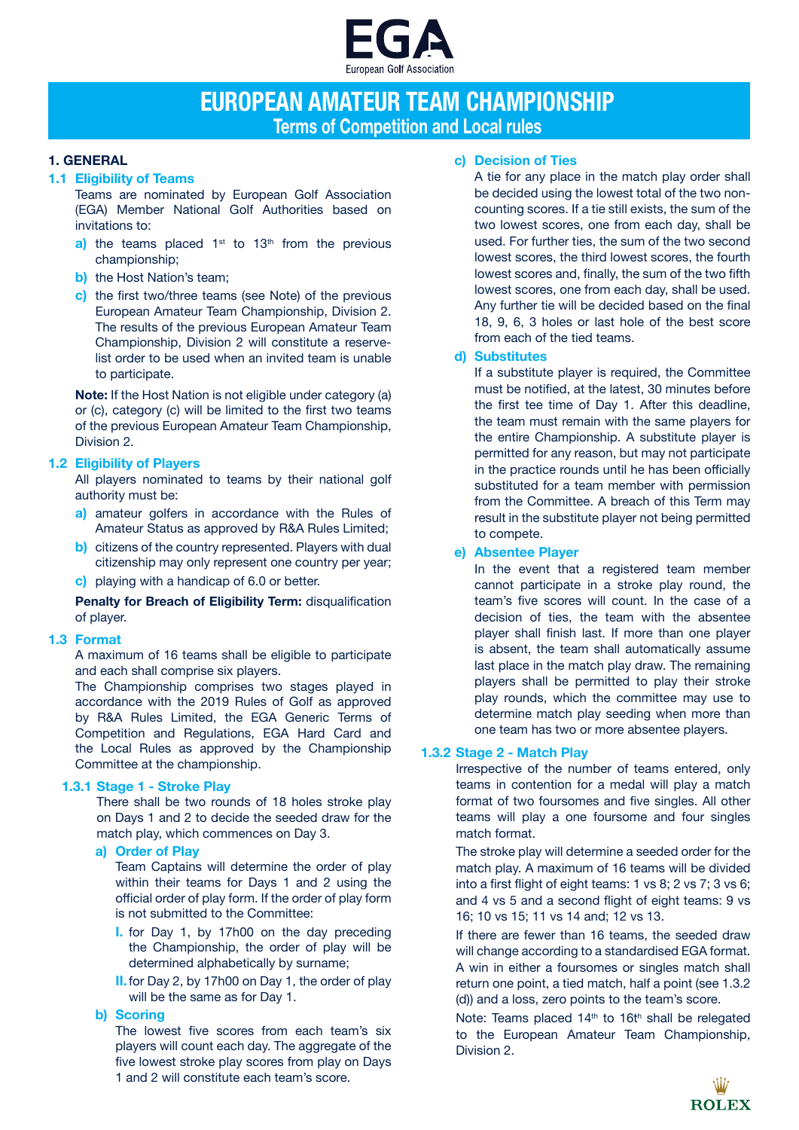

# **EUROPEAN AMATEUR TEAM CHAMPIONSHIP Terms of Competition and Local rules**

# **1. GENERAL**

# **1.1 Eligibility of Teams**

Teams are nominated by European Golf Association (EGA) Member National Golf Authorities based on invitations to:

- **a)** the teams placed  $1^{st}$  to  $13^{th}$  from the previous championship;
- **b)** the Host Nation's team;
- **c)** the first two/three teams (see Note) of the previous European Amateur Team Championship, Division 2. The results of the previous European Amateur Team Championship, Division 2 will constitute a reservelist order to be used when an invited team is unable to participate.

**Note:** If the Host Nation is not eligible under category (a) or (c), category (c) will be limited to the first two teams of the previous European Amateur Team Championship, Division 2.

# **1.2 Eligibility of Players**

All players nominated to teams by their national golf authority must be:

- **a)** amateur golfers in accordance with the Rules of Amateur Status as approved by R&A Rules Limited;
- **b)** citizens of the country represented. Players with dual citizenship may only represent one country per year;
- **c)** playing with a handicap of 6.0 or better.

**Penalty for Breach of Eligibility Term:** disqualification of player.

## **1.3 Format**

A maximum of 16 teams shall be eligible to participate and each shall comprise six players.

The Championship comprises two stages played in accordance with the 2019 Rules of Golf as approved by R&A Rules Limited, the EGA Generic Terms of Competition and Regulations, EGA Hard Card and the Local Rules as approved by the Championship Committee at the championship.

## **1.3.1 Stage 1 - Stroke Play**

There shall be two rounds of 18 holes stroke play on Days 1 and 2 to decide the seeded draw for the match play, which commences on Day 3.

## **a) Order of Play**

Team Captains will determine the order of play within their teams for Days 1 and 2 using the official order of play form. If the order of play form is not submitted to the Committee:

- **I.** for Day 1, by 17h00 on the day preceding the Championship, the order of play will be determined alphabetically by surname;
- **II.**for Day 2, by 17h00 on Day 1, the order of play will be the same as for Day 1.

# **b) Scoring**

The lowest five scores from each team's six players will count each day. The aggregate of the five lowest stroke play scores from play on Days 1 and 2 will constitute each team's score.

# **c) Decision of Ties**

A tie for any place in the match play order shall be decided using the lowest total of the two noncounting scores. If a tie still exists, the sum of the two lowest scores, one from each day, shall be used. For further ties, the sum of the two second lowest scores, the third lowest scores, the fourth lowest scores and, finally, the sum of the two fifth lowest scores, one from each day, shall be used. Any further tie will be decided based on the final 18, 9, 6, 3 holes or last hole of the best score from each of the tied teams.

# **d) Substitutes**

If a substitute player is required, the Committee must be notified, at the latest, 30 minutes before the first tee time of Day 1. After this deadline, the team must remain with the same players for the entire Championship. A substitute player is permitted for any reason, but may not participate in the practice rounds until he has been officially substituted for a team member with permission from the Committee. A breach of this Term may result in the substitute player not being permitted to compete.

# **e) Absentee Player**

In the event that a registered team member cannot participate in a stroke play round, the team's five scores will count. In the case of a decision of ties, the team with the absentee player shall finish last. If more than one player is absent, the team shall automatically assume last place in the match play draw. The remaining players shall be permitted to play their stroke play rounds, which the committee may use to determine match play seeding when more than one team has two or more absentee players.

## **1.3.2 Stage 2 - Match Play**

Irrespective of the number of teams entered, only teams in contention for a medal will play a match format of two foursomes and five singles. All other teams will play a one foursome and four singles match format.

The stroke play will determine a seeded order for the match play. A maximum of 16 teams will be divided into a first flight of eight teams: 1 vs 8; 2 vs 7; 3 vs 6; and 4 vs 5 and a second flight of eight teams: 9 vs 16; 10 vs 15; 11 vs 14 and; 12 vs 13.

If there are fewer than 16 teams, the seeded draw will change according to a standardised EGA format. A win in either a foursomes or singles match shall return one point, a tied match, half a point (see 1.3.2 (d)) and a loss, zero points to the team's score.

Note: Teams placed  $14<sup>th</sup>$  to  $16t<sup>h</sup>$  shall be relegated to the European Amateur Team Championship, Division 2.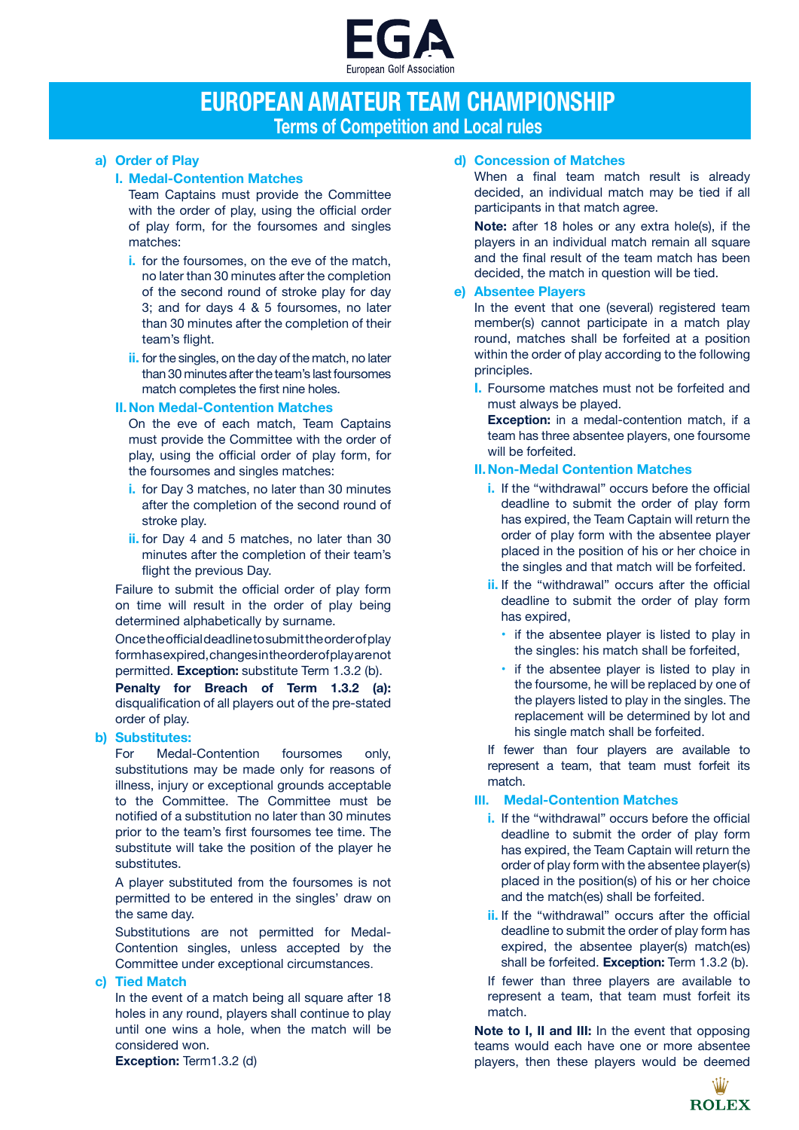

# **EUROPEAN AMATEUR TEAM CHAMPIONSHIP Terms of Competition and Local rules**

# **a) Order of Play**

# **I. Medal-Contention Matches**

Team Captains must provide the Committee with the order of play, using the official order of play form, for the foursomes and singles matches:

- **i.** for the foursomes, on the eve of the match, no later than 30 minutes after the completion of the second round of stroke play for day 3; and for days 4 & 5 foursomes, no later than 30 minutes after the completion of their team's flight.
- **ii.** for the singles, on the day of the match, no later than 30 minutes after the team's last foursomes match completes the first nine holes.

# **II.Non Medal-Contention Matches**

On the eve of each match, Team Captains must provide the Committee with the order of play, using the official order of play form, for the foursomes and singles matches:

- **i.** for Day 3 matches, no later than 30 minutes after the completion of the second round of stroke play.
- **ii.** for Day 4 and 5 matches, no later than 30 minutes after the completion of their team's flight the previous Day.

Failure to submit the official order of play form on time will result in the order of play being determined alphabetically by surname.

Once the official deadline to submit the order of play form has expired, changes in the order of play are not permitted. **Exception:** substitute Term 1.3.2 (b).

**Penalty for Breach of Term 1.3.2 (a):**  disqualification of all players out of the pre-stated order of play.

# **b) Substitutes:**

For Medal-Contention foursomes only, substitutions may be made only for reasons of illness, injury or exceptional grounds acceptable to the Committee. The Committee must be notified of a substitution no later than 30 minutes prior to the team's first foursomes tee time. The substitute will take the position of the player he substitutes.

A player substituted from the foursomes is not permitted to be entered in the singles' draw on the same day.

Substitutions are not permitted for Medal-Contention singles, unless accepted by the Committee under exceptional circumstances.

## **c) Tied Match**

In the event of a match being all square after 18 holes in any round, players shall continue to play until one wins a hole, when the match will be considered won.

#### **Exception: Term1.3.2 (d)**

# **d) Concession of Matches**

When a final team match result is already decided, an individual match may be tied if all participants in that match agree.

**Note:** after 18 holes or any extra hole(s), if the players in an individual match remain all square and the final result of the team match has been decided, the match in question will be tied.

# **e) Absentee Players**

In the event that one (several) registered team member(s) cannot participate in a match play round, matches shall be forfeited at a position within the order of play according to the following principles.

**I.** Foursome matches must not be forfeited and must always be played.

**Exception:** in a medal-contention match, if a team has three absentee players, one foursome will be forfeited.

# **II.Non-Medal Contention Matches**

- **i.** If the "withdrawal" occurs before the official deadline to submit the order of play form has expired, the Team Captain will return the order of play form with the absentee player placed in the position of his or her choice in the singles and that match will be forfeited.
- **ii.** If the "withdrawal" occurs after the official deadline to submit the order of play form has expired,
	- if the absentee player is listed to play in the singles: his match shall be forfeited,
	- if the absentee player is listed to play in the foursome, he will be replaced by one of the players listed to play in the singles. The replacement will be determined by lot and his single match shall be forfeited.

If fewer than four players are available to represent a team, that team must forfeit its match.

# **III. Medal-Contention Matches**

- **i.** If the "withdrawal" occurs before the official deadline to submit the order of play form has expired, the Team Captain will return the order of play form with the absentee player(s) placed in the position(s) of his or her choice and the match(es) shall be forfeited.
- **ii.** If the "withdrawal" occurs after the official deadline to submit the order of play form has expired, the absentee player(s) match(es) shall be forfeited. **Exception:** Term 1.3.2 (b).

If fewer than three players are available to represent a team, that team must forfeit its match.

**Note to I, II and III:** In the event that opposing teams would each have one or more absentee players, then these players would be deemed